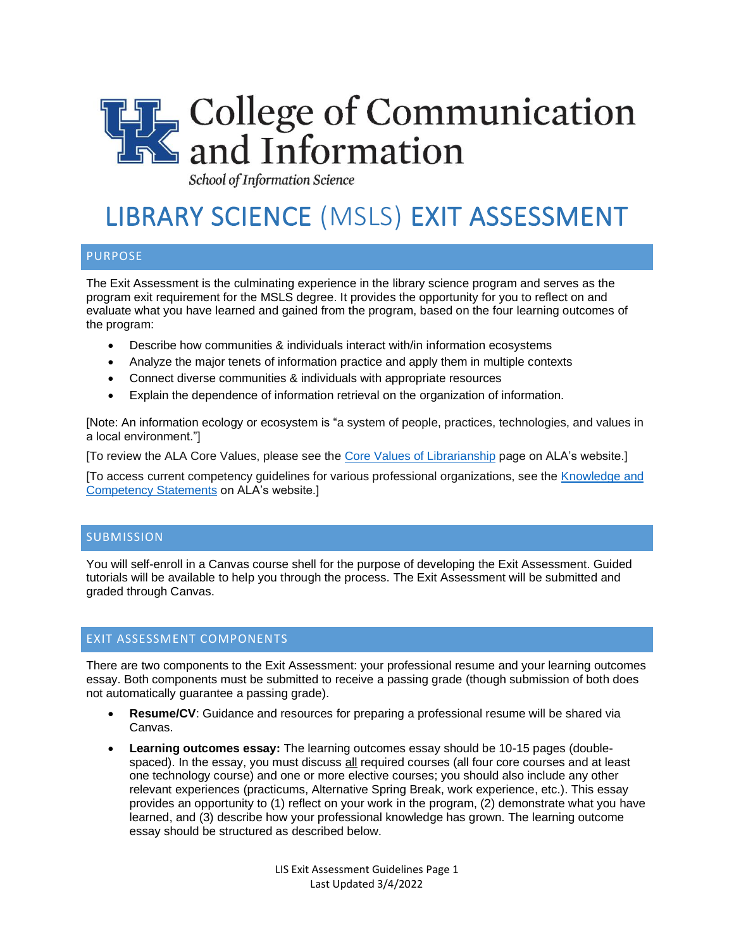

School of Information Science

# LIBRARY SCIENCE (MSLS) EXIT ASSESSMENT

## PURPOSE

The Exit Assessment is the culminating experience in the library science program and serves as the program exit requirement for the MSLS degree. It provides the opportunity for you to reflect on and evaluate what you have learned and gained from the program, based on the four learning outcomes of the program:

- Describe how communities & individuals interact with/in information ecosystems
- Analyze the major tenets of information practice and apply them in multiple contexts
- Connect diverse communities & individuals with appropriate resources
- Explain the dependence of information retrieval on the organization of information.

[Note: An information ecology or ecosystem is "a system of people, practices, technologies, and values in a local environment."]

[To review the ALA Core Values, please see the [Core Values of Librarianship](https://www.ala.org/advocacy/intfreedom/corevalues) page on ALA's website.]

[To access current competency guidelines for various professional organizations, see the [Knowledge and](https://www.ala.org/educationcareers/careers/corecomp/corecompspecial/knowledgecompetencies)  [Competency Statements](https://www.ala.org/educationcareers/careers/corecomp/corecompspecial/knowledgecompetencies) on ALA's website.]

## **SUBMISSION**

You will self-enroll in a Canvas course shell for the purpose of developing the Exit Assessment. Guided tutorials will be available to help you through the process. The Exit Assessment will be submitted and graded through Canvas.

## EXIT ASSESSMENT COMPONENTS

There are two components to the Exit Assessment: your professional resume and your learning outcomes essay. Both components must be submitted to receive a passing grade (though submission of both does not automatically guarantee a passing grade).

- **Resume/CV**: Guidance and resources for preparing a professional resume will be shared via Canvas.
- **Learning outcomes essay:** The learning outcomes essay should be 10-15 pages (doublespaced). In the essay, you must discuss all required courses (all four core courses and at least one technology course) and one or more elective courses; you should also include any other relevant experiences (practicums, Alternative Spring Break, work experience, etc.). This essay provides an opportunity to (1) reflect on your work in the program, (2) demonstrate what you have learned, and (3) describe how your professional knowledge has grown. The learning outcome essay should be structured as described below.

LIS Exit Assessment Guidelines Page 1 Last Updated 3/4/2022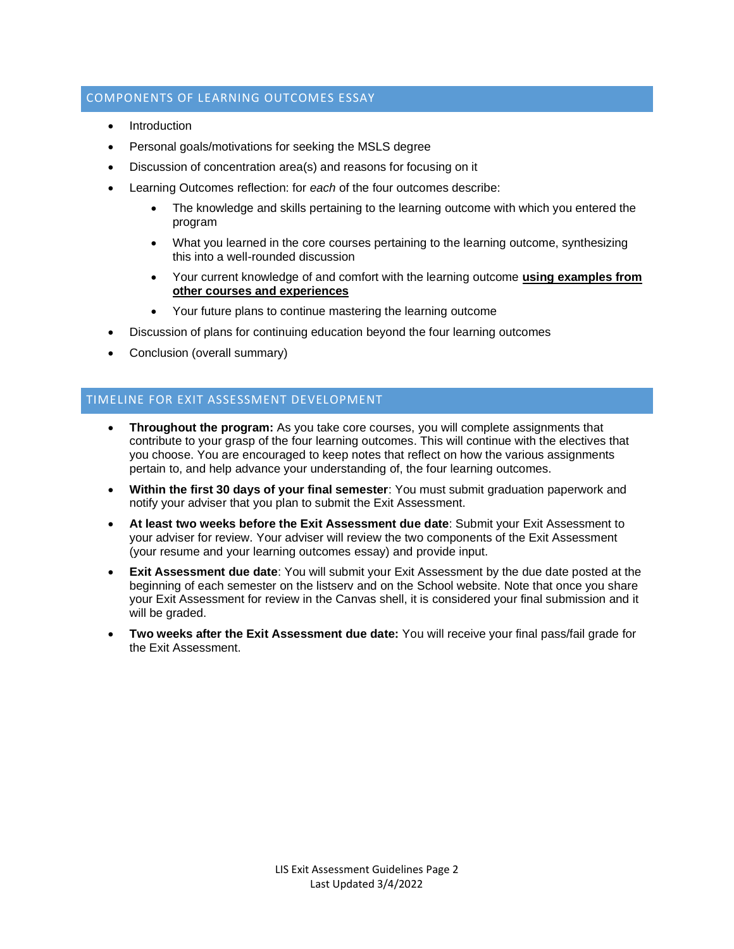## COMPONENTS OF LEARNING OUTCOMES ESSAY

- **Introduction**
- Personal goals/motivations for seeking the MSLS degree
- Discussion of concentration area(s) and reasons for focusing on it
- Learning Outcomes reflection: for *each* of the four outcomes describe:
	- The knowledge and skills pertaining to the learning outcome with which you entered the program
	- What you learned in the core courses pertaining to the learning outcome, synthesizing this into a well-rounded discussion
	- Your current knowledge of and comfort with the learning outcome **using examples from other courses and experiences**
	- Your future plans to continue mastering the learning outcome
- Discussion of plans for continuing education beyond the four learning outcomes
- Conclusion (overall summary)

# TIMELINE FOR EXIT ASSESSMENT DEVELOPMENT

- **Throughout the program:** As you take core courses, you will complete assignments that contribute to your grasp of the four learning outcomes. This will continue with the electives that you choose. You are encouraged to keep notes that reflect on how the various assignments pertain to, and help advance your understanding of, the four learning outcomes.
- **Within the first 30 days of your final semester**: You must submit graduation paperwork and notify your adviser that you plan to submit the Exit Assessment.
- **At least two weeks before the Exit Assessment due date**: Submit your Exit Assessment to your adviser for review. Your adviser will review the two components of the Exit Assessment (your resume and your learning outcomes essay) and provide input.
- **Exit Assessment due date:** You will submit your Exit Assessment by the due date posted at the beginning of each semester on the listserv and on the School website. Note that once you share your Exit Assessment for review in the Canvas shell, it is considered your final submission and it will be graded.
- **Two weeks after the Exit Assessment due date:** You will receive your final pass/fail grade for the Exit Assessment.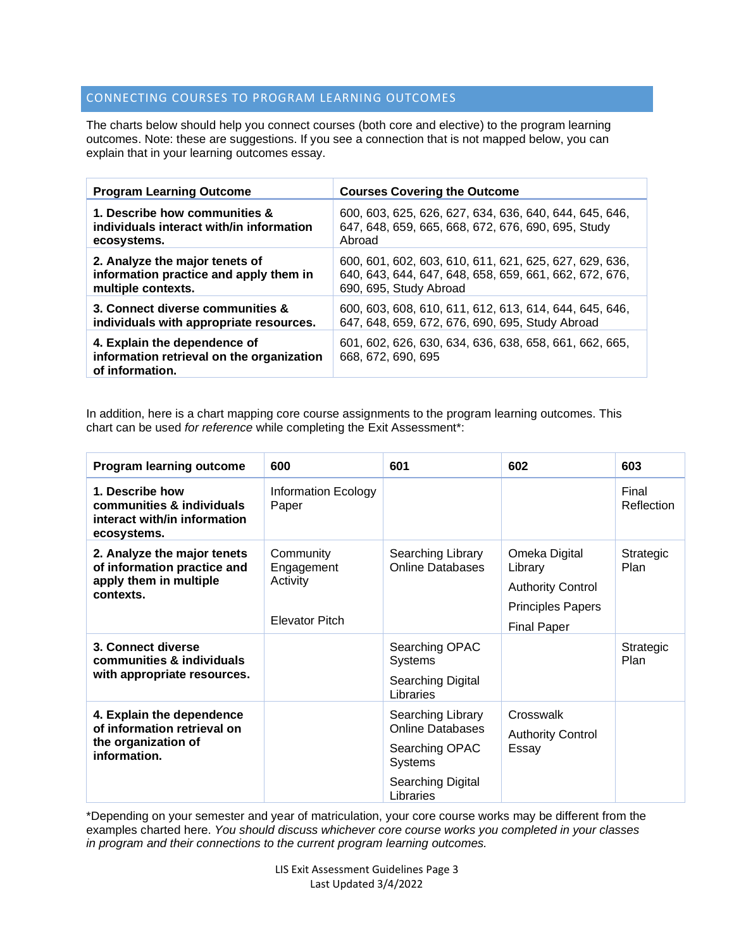# CONNECTING COURSES TO PROGRAM LEARNING OUTCOMES

The charts below should help you connect courses (both core and elective) to the program learning outcomes. Note: these are suggestions. If you see a connection that is not mapped below, you can explain that in your learning outcomes essay.

| <b>Program Learning Outcome</b>                                                              | <b>Courses Covering the Outcome</b>                                          |
|----------------------------------------------------------------------------------------------|------------------------------------------------------------------------------|
| 1. Describe how communities &                                                                | 600, 603, 625, 626, 627, 634, 636, 640, 644, 645, 646,                       |
| individuals interact with/in information                                                     | 647, 648, 659, 665, 668, 672, 676, 690, 695, Study                           |
| ecosystems.                                                                                  | Abroad                                                                       |
| 2. Analyze the major tenets of                                                               | 600, 601, 602, 603, 610, 611, 621, 625, 627, 629, 636,                       |
| information practice and apply them in                                                       | 640, 643, 644, 647, 648, 658, 659, 661, 662, 672, 676,                       |
| multiple contexts.                                                                           | 690, 695, Study Abroad                                                       |
| 3. Connect diverse communities &                                                             | 600, 603, 608, 610, 611, 612, 613, 614, 644, 645, 646,                       |
| individuals with appropriate resources.                                                      | 647, 648, 659, 672, 676, 690, 695, Study Abroad                              |
| 4. Explain the dependence of<br>information retrieval on the organization<br>of information. | 601, 602, 626, 630, 634, 636, 638, 658, 661, 662, 665,<br>668, 672, 690, 695 |

In addition, here is a chart mapping core course assignments to the program learning outcomes. This chart can be used *for reference* while completing the Exit Assessment\*:

| <b>Program learning outcome</b>                                                                   | 600                                                          | 601                                                                                                                | 602                                                                                                    | 603                 |
|---------------------------------------------------------------------------------------------------|--------------------------------------------------------------|--------------------------------------------------------------------------------------------------------------------|--------------------------------------------------------------------------------------------------------|---------------------|
| 1. Describe how<br>communities & individuals<br>interact with/in information<br>ecosystems.       | <b>Information Ecology</b><br>Paper                          |                                                                                                                    |                                                                                                        | Final<br>Reflection |
| 2. Analyze the major tenets<br>of information practice and<br>apply them in multiple<br>contexts. | Community<br>Engagement<br>Activity<br><b>Elevator Pitch</b> | Searching Library<br><b>Online Databases</b>                                                                       | Omeka Digital<br>Library<br><b>Authority Control</b><br><b>Principles Papers</b><br><b>Final Paper</b> | Strategic<br>Plan   |
| 3. Connect diverse<br>communities & individuals<br>with appropriate resources.                    |                                                              | Searching OPAC<br><b>Systems</b><br>Searching Digital<br>Libraries                                                 |                                                                                                        | Strategic<br>Plan   |
| 4. Explain the dependence<br>of information retrieval on<br>the organization of<br>information.   |                                                              | Searching Library<br><b>Online Databases</b><br>Searching OPAC<br><b>Systems</b><br>Searching Digital<br>Libraries | Crosswalk<br><b>Authority Control</b><br>Essay                                                         |                     |

\*Depending on your semester and year of matriculation, your core course works may be different from the examples charted here. *You should discuss whichever core course works you completed in your classes in program and their connections to the current program learning outcomes.*

> LIS Exit Assessment Guidelines Page 3 Last Updated 3/4/2022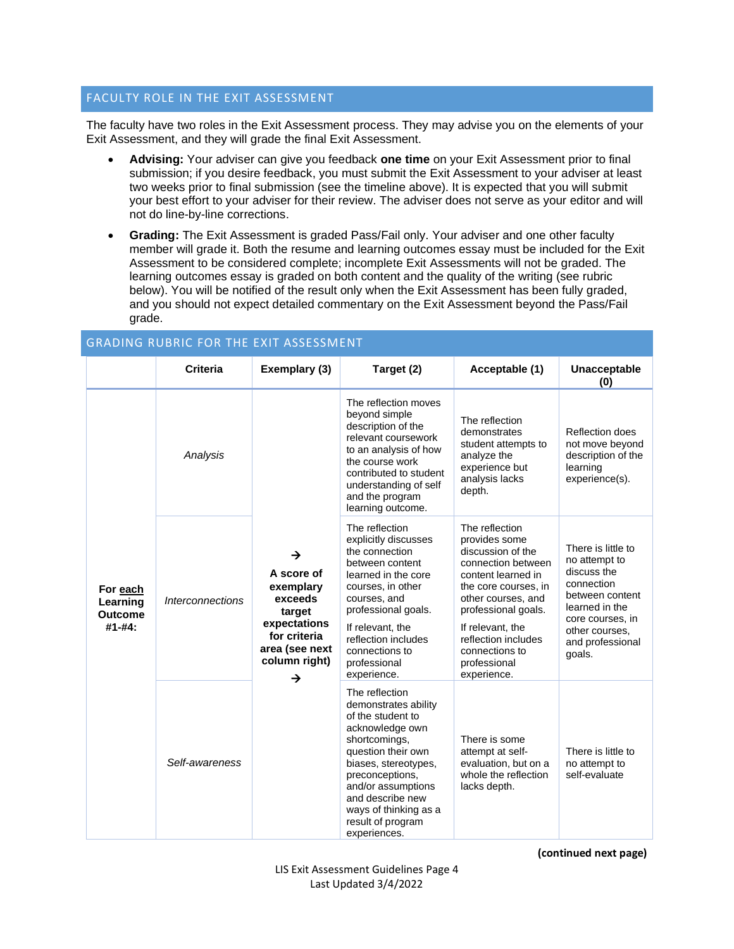## FACULTY ROLE IN THE EXIT ASSESSMENT

The faculty have two roles in the Exit Assessment process. They may advise you on the elements of your Exit Assessment, and they will grade the final Exit Assessment.

- **Advising:** Your adviser can give you feedback **one time** on your Exit Assessment prior to final submission; if you desire feedback, you must submit the Exit Assessment to your adviser at least two weeks prior to final submission (see the timeline above). It is expected that you will submit your best effort to your adviser for their review. The adviser does not serve as your editor and will not do line-by-line corrections.
- **Grading:** The Exit Assessment is graded Pass/Fail only. Your adviser and one other faculty member will grade it. Both the resume and learning outcomes essay must be included for the Exit Assessment to be considered complete; incomplete Exit Assessments will not be graded. The learning outcomes essay is graded on both content and the quality of the writing (see rubric below). You will be notified of the result only when the Exit Assessment has been fully graded, and you should not expect detailed commentary on the Exit Assessment beyond the Pass/Fail grade.

| <b>GRADING RUBRIC FOR THE EXIT ASSESSMENT</b>    |                                |                                                                                                                           |                                                                                                                                                                                                                                                                          |                                                                                                                                                                                                                                                                   |                                                                                                                                                                           |
|--------------------------------------------------|--------------------------------|---------------------------------------------------------------------------------------------------------------------------|--------------------------------------------------------------------------------------------------------------------------------------------------------------------------------------------------------------------------------------------------------------------------|-------------------------------------------------------------------------------------------------------------------------------------------------------------------------------------------------------------------------------------------------------------------|---------------------------------------------------------------------------------------------------------------------------------------------------------------------------|
|                                                  | <b>Criteria</b>                | Exemplary (3)                                                                                                             | Target (2)                                                                                                                                                                                                                                                               | Acceptable (1)                                                                                                                                                                                                                                                    | <b>Unacceptable</b><br>(0)                                                                                                                                                |
| For each<br>Learning<br><b>Outcome</b><br>#1-#4: | Analysis                       | →<br>A score of<br>exemplary<br>exceeds<br>target<br>expectations<br>for criteria<br>area (see next<br>column right)<br>→ | The reflection moves<br>beyond simple<br>description of the<br>relevant coursework<br>to an analysis of how<br>the course work<br>contributed to student<br>understanding of self<br>and the program<br>learning outcome.                                                | The reflection<br>demonstrates<br>student attempts to<br>analyze the<br>experience but<br>analysis lacks<br>depth.                                                                                                                                                | Reflection does<br>not move beyond<br>description of the<br>learning<br>experience(s).                                                                                    |
|                                                  | <i><b>Interconnections</b></i> |                                                                                                                           | The reflection<br>explicitly discusses<br>the connection<br>between content<br>learned in the core<br>courses, in other<br>courses, and<br>professional goals.<br>If relevant, the<br>reflection includes<br>connections to<br>professional<br>experience.               | The reflection<br>provides some<br>discussion of the<br>connection between<br>content learned in<br>the core courses, in<br>other courses, and<br>professional goals.<br>If relevant, the<br>reflection includes<br>connections to<br>professional<br>experience. | There is little to<br>no attempt to<br>discuss the<br>connection<br>between content<br>learned in the<br>core courses, in<br>other courses.<br>and professional<br>goals. |
|                                                  | Self-awareness                 |                                                                                                                           | The reflection<br>demonstrates ability<br>of the student to<br>acknowledge own<br>shortcomings,<br>question their own<br>biases, stereotypes,<br>preconceptions,<br>and/or assumptions<br>and describe new<br>ways of thinking as a<br>result of program<br>experiences. | There is some<br>attempt at self-<br>evaluation, but on a<br>whole the reflection<br>lacks depth.                                                                                                                                                                 | There is little to<br>no attempt to<br>self-evaluate                                                                                                                      |

**(continued next page)**

LIS Exit Assessment Guidelines Page 4 Last Updated 3/4/2022